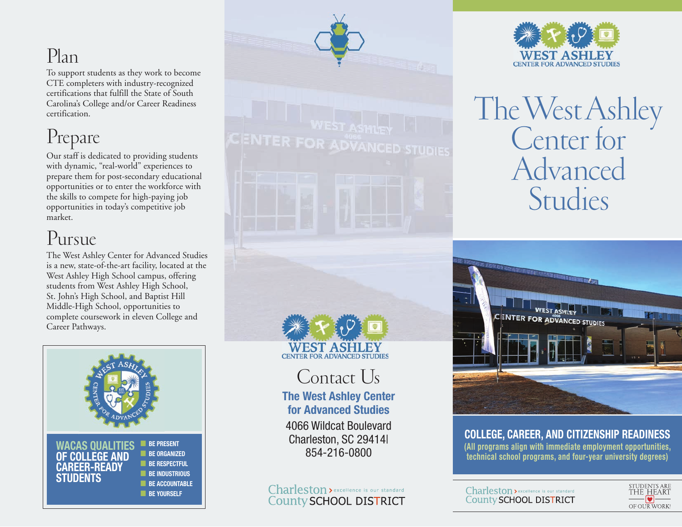## Plan

To support students as they work to become CTE completers with industry-recognized certifications that fulfill the State of South Carolina's College and/or Career Readiness certification.

## Prepare

Our staff is dedicated to providing students with dynamic, "real-world" experiences to prepare them for post-secondary educational opportunities or to enter the workforce with the skills to compete for high-paying job opportunities in today's competitive job market.

## Pursue

The West Ashley Center for Advanced Studies is a new, state-of-the-art facility, located at the West Ashley High School campus, offering students from West Ashley High School, St. John's High School, and Baptist Hill Middle-High School, opportunities to complete coursework in eleven College and Career Pathways.





Contact Us

**The West Ashley Center for Advanced Studies**

4066 Wildcat Boulevard Charleston, SC 29414| 854-216-0800

Charleston > excellence is our standard **County SCHOOL DISTRICT** 



# The West Ashley<br>Center for Advanced Studies



**COLLEGE, CAREER, AND CITIZENSHIP READINESS (All programs align with immediate employment opportunities, technical school programs, and four-year university degrees)**

Charleston > excellence is our standard County SCHOOL DISTRICT